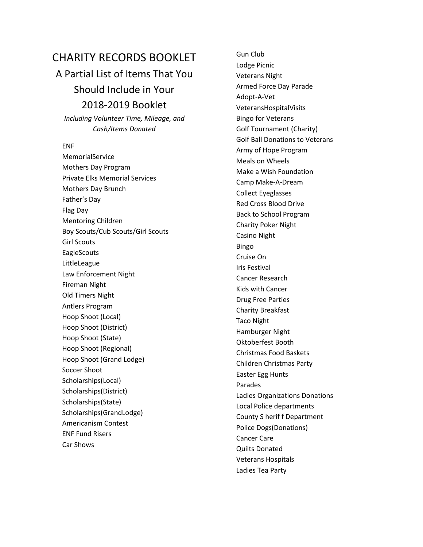## CHARITY RECORDS BOOKLET

## A Partial List of Items That You Should Include in Your 2018‐2019 Booklet

*Including Volunteer Time, Mileage, and Cash/Items Donated*

## ENF

MemorialService Mothers Day Program Private Elks Memorial Services Mothers Day Brunch Father's Day Flag Day Mentoring Children Boy Scouts/Cub Scouts/Girl Scouts Girl Scouts **EagleScouts** LittleLeague Law Enforcement Night Fireman Night Old Timers Night Antlers Program Hoop Shoot (Local) Hoop Shoot (District) Hoop Shoot (State) Hoop Shoot (Regional) Hoop Shoot (Grand Lodge) Soccer Shoot Scholarships(Local) Scholarships(District) Scholarships(State) Scholarships(GrandLodge) Americanism Contest ENF Fund Risers Car Shows

Gun Club Lodge Picnic Veterans Night Armed Force Day Parade Adopt‐A‐Vet VeteransHospitalVisits Bingo for Veterans Golf Tournament (Charity) Golf Ball Donations to Veterans Army of Hope Program Meals on Wheels Make a Wish Foundation Camp Make‐A‐Dream Collect Eyeglasses Red Cross Blood Drive Back to School Program Charity Poker Night Casino Night Bingo Cruise On Iris Festival Cancer Research Kids with Cancer Drug Free Parties Charity Breakfast Taco Night Hamburger Night Oktoberfest Booth Christmas Food Baskets Children Christmas Party Easter Egg Hunts Parades Ladies Organizations Donations Local Police departments County S herif f Department Police Dogs(Donations) Cancer Care Quilts Donated Veterans Hospitals Ladies Tea Party